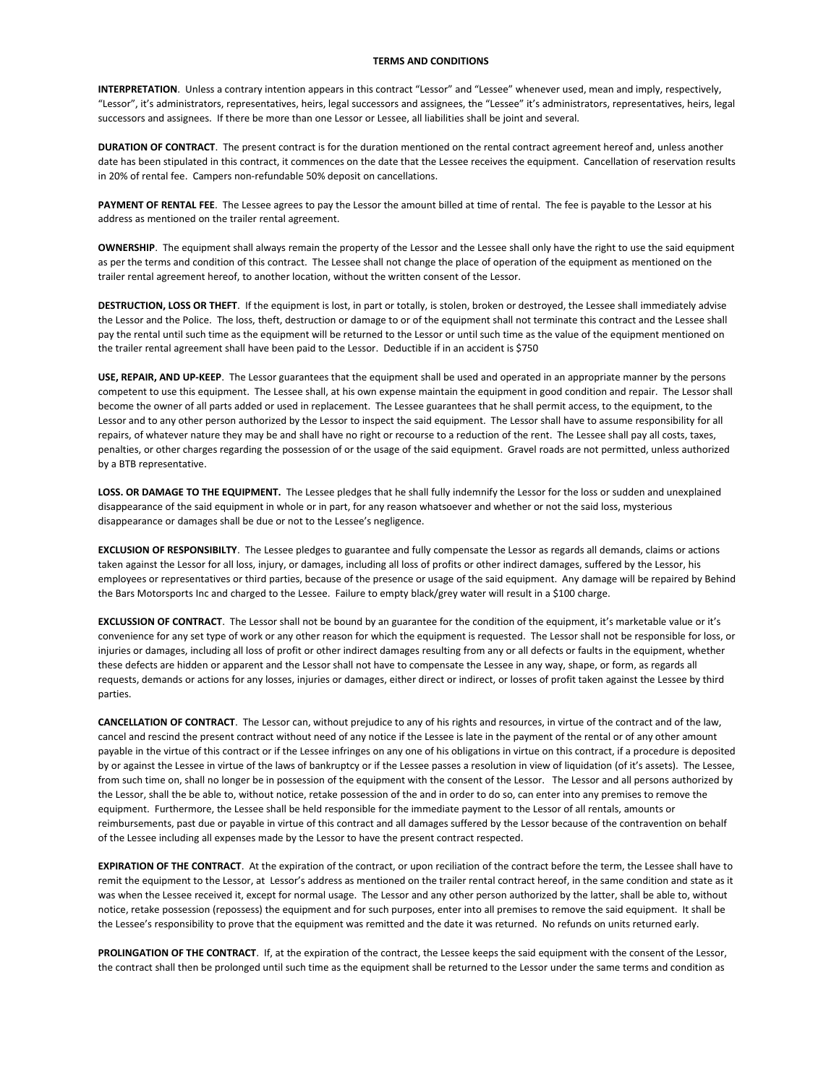## **TERMS AND CONDITIONS**

**INTERPRETATION**. Unless a contrary intention appears in this contract "Lessor" and "Lessee" whenever used, mean and imply, respectively, "Lessor", it's administrators, representatives, heirs, legal successors and assignees, the "Lessee" it's administrators, representatives, heirs, legal successors and assignees. If there be more than one Lessor or Lessee, all liabilities shall be joint and several.

**DURATION OF CONTRACT**. The present contract is for the duration mentioned on the rental contract agreement hereof and, unless another date has been stipulated in this contract, it commences on the date that the Lessee receives the equipment. Cancellation of reservation results in 20% of rental fee. Campers non-refundable 50% deposit on cancellations.

**PAYMENT OF RENTAL FEE**. The Lessee agrees to pay the Lessor the amount billed at time of rental. The fee is payable to the Lessor at his address as mentioned on the trailer rental agreement.

**OWNERSHIP**. The equipment shall always remain the property of the Lessor and the Lessee shall only have the right to use the said equipment as per the terms and condition of this contract. The Lessee shall not change the place of operation of the equipment as mentioned on the trailer rental agreement hereof, to another location, without the written consent of the Lessor.

**DESTRUCTION, LOSS OR THEFT**. If the equipment is lost, in part or totally, is stolen, broken or destroyed, the Lessee shall immediately advise the Lessor and the Police. The loss, theft, destruction or damage to or of the equipment shall not terminate this contract and the Lessee shall pay the rental until such time as the equipment will be returned to the Lessor or until such time as the value of the equipment mentioned on the trailer rental agreement shall have been paid to the Lessor. Deductible if in an accident is \$750

**USE, REPAIR, AND UP-KEEP**. The Lessor guarantees that the equipment shall be used and operated in an appropriate manner by the persons competent to use this equipment. The Lessee shall, at his own expense maintain the equipment in good condition and repair. The Lessor shall become the owner of all parts added or used in replacement. The Lessee guarantees that he shall permit access, to the equipment, to the Lessor and to any other person authorized by the Lessor to inspect the said equipment. The Lessor shall have to assume responsibility for all repairs, of whatever nature they may be and shall have no right or recourse to a reduction of the rent. The Lessee shall pay all costs, taxes, penalties, or other charges regarding the possession of or the usage of the said equipment. Gravel roads are not permitted, unless authorized by a BTB representative.

**LOSS. OR DAMAGE TO THE EQUIPMENT.** The Lessee pledges that he shall fully indemnify the Lessor for the loss or sudden and unexplained disappearance of the said equipment in whole or in part, for any reason whatsoever and whether or not the said loss, mysterious disappearance or damages shall be due or not to the Lessee's negligence.

**EXCLUSION OF RESPONSIBILTY**. The Lessee pledges to guarantee and fully compensate the Lessor as regards all demands, claims or actions taken against the Lessor for all loss, injury, or damages, including all loss of profits or other indirect damages, suffered by the Lessor, his employees or representatives or third parties, because of the presence or usage of the said equipment. Any damage will be repaired by Behind the Bars Motorsports Inc and charged to the Lessee. Failure to empty black/grey water will result in a \$100 charge.

**EXCLUSSION OF CONTRACT**. The Lessor shall not be bound by an guarantee for the condition of the equipment, it's marketable value or it's convenience for any set type of work or any other reason for which the equipment is requested. The Lessor shall not be responsible for loss, or injuries or damages, including all loss of profit or other indirect damages resulting from any or all defects or faults in the equipment, whether these defects are hidden or apparent and the Lessor shall not have to compensate the Lessee in any way, shape, or form, as regards all requests, demands or actions for any losses, injuries or damages, either direct or indirect, or losses of profit taken against the Lessee by third parties.

**CANCELLATION OF CONTRACT**. The Lessor can, without prejudice to any of his rights and resources, in virtue of the contract and of the law, cancel and rescind the present contract without need of any notice if the Lessee is late in the payment of the rental or of any other amount payable in the virtue of this contract or if the Lessee infringes on any one of his obligations in virtue on this contract, if a procedure is deposited by or against the Lessee in virtue of the laws of bankruptcy or if the Lessee passes a resolution in view of liquidation (of it's assets). The Lessee, from such time on, shall no longer be in possession of the equipment with the consent of the Lessor. The Lessor and all persons authorized by the Lessor, shall the be able to, without notice, retake possession of the and in order to do so, can enter into any premises to remove the equipment. Furthermore, the Lessee shall be held responsible for the immediate payment to the Lessor of all rentals, amounts or reimbursements, past due or payable in virtue of this contract and all damages suffered by the Lessor because of the contravention on behalf of the Lessee including all expenses made by the Lessor to have the present contract respected.

**EXPIRATION OF THE CONTRACT**. At the expiration of the contract, or upon reciliation of the contract before the term, the Lessee shall have to remit the equipment to the Lessor, at Lessor's address as mentioned on the trailer rental contract hereof, in the same condition and state as it was when the Lessee received it, except for normal usage. The Lessor and any other person authorized by the latter, shall be able to, without notice, retake possession (repossess) the equipment and for such purposes, enter into all premises to remove the said equipment. It shall be the Lessee's responsibility to prove that the equipment was remitted and the date it was returned. No refunds on units returned early.

**PROLINGATION OF THE CONTRACT**. If, at the expiration of the contract, the Lessee keeps the said equipment with the consent of the Lessor, the contract shall then be prolonged until such time as the equipment shall be returned to the Lessor under the same terms and condition as